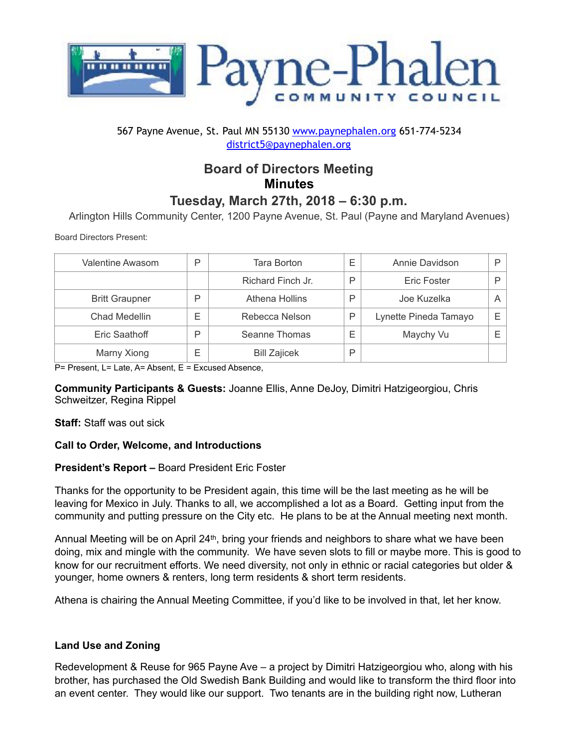

## 567 Payne Avenue, St. Paul MN 55130 [www.paynephalen.org](http://www.paynephalen.org) 651-774-5234 [district5@paynephalen.org](mailto:district5@paynephalen.org)

# **Board of Directors Meeting Minutes**

## **Tuesday, March 27th, 2018 – 6:30 p.m.**

Arlington Hills Community Center, 1200 Payne Avenue, St. Paul (Payne and Maryland Avenues)

Board Directors Present:

| Valentine Awasom      | P | Tara Borton         | F | Annie Davidson        | D |
|-----------------------|---|---------------------|---|-----------------------|---|
|                       |   | Richard Finch Jr.   | P | Eric Foster           | D |
| <b>Britt Graupner</b> | P | Athena Hollins      | P | Joe Kuzelka           | Α |
| Chad Medellin         | Е | Rebecca Nelson      | P | Lynette Pineda Tamayo | Е |
| Eric Saathoff         | P | Seanne Thomas       | Е | Maychy Vu             | E |
| Marny Xiong           | Е | <b>Bill Zajicek</b> | P |                       |   |

P= Present, L= Late, A= Absent, E = Excused Absence,

**Community Participants & Guests:** Joanne Ellis, Anne DeJoy, Dimitri Hatzigeorgiou, Chris Schweitzer, Regina Rippel

**Staff:** Staff was out sick

## **Call to Order, Welcome, and Introductions**

## **President's Report –** Board President Eric Foster

Thanks for the opportunity to be President again, this time will be the last meeting as he will be leaving for Mexico in July. Thanks to all, we accomplished a lot as a Board. Getting input from the community and putting pressure on the City etc. He plans to be at the Annual meeting next month.

Annual Meeting will be on April 24th, bring your friends and neighbors to share what we have been doing, mix and mingle with the community. We have seven slots to fill or maybe more. This is good to know for our recruitment efforts. We need diversity, not only in ethnic or racial categories but older & younger, home owners & renters, long term residents & short term residents.

Athena is chairing the Annual Meeting Committee, if you'd like to be involved in that, let her know.

## **Land Use and Zoning**

Redevelopment & Reuse for 965 Payne Ave – a project by Dimitri Hatzigeorgiou who, along with his brother, has purchased the Old Swedish Bank Building and would like to transform the third floor into an event center. They would like our support. Two tenants are in the building right now, Lutheran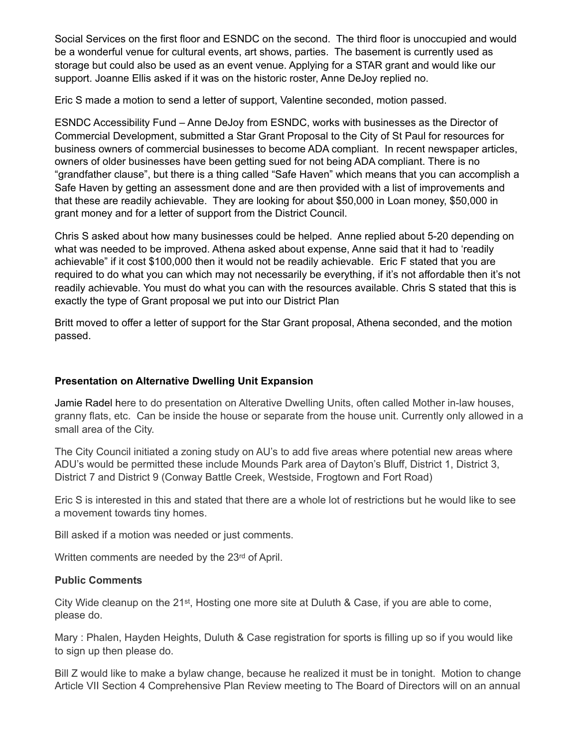Social Services on the first floor and ESNDC on the second. The third floor is unoccupied and would be a wonderful venue for cultural events, art shows, parties. The basement is currently used as storage but could also be used as an event venue. Applying for a STAR grant and would like our support. Joanne Ellis asked if it was on the historic roster, Anne DeJoy replied no.

Eric S made a motion to send a letter of support, Valentine seconded, motion passed.

ESNDC Accessibility Fund – Anne DeJoy from ESNDC, works with businesses as the Director of Commercial Development, submitted a Star Grant Proposal to the City of St Paul for resources for business owners of commercial businesses to become ADA compliant. In recent newspaper articles, owners of older businesses have been getting sued for not being ADA compliant. There is no "grandfather clause", but there is a thing called "Safe Haven" which means that you can accomplish a Safe Haven by getting an assessment done and are then provided with a list of improvements and that these are readily achievable. They are looking for about \$50,000 in Loan money, \$50,000 in grant money and for a letter of support from the District Council.

Chris S asked about how many businesses could be helped. Anne replied about 5-20 depending on what was needed to be improved. Athena asked about expense, Anne said that it had to 'readily achievable" if it cost \$100,000 then it would not be readily achievable. Eric F stated that you are required to do what you can which may not necessarily be everything, if it's not affordable then it's not readily achievable. You must do what you can with the resources available. Chris S stated that this is exactly the type of Grant proposal we put into our District Plan

Britt moved to offer a letter of support for the Star Grant proposal, Athena seconded, and the motion passed.

## **Presentation on Alternative Dwelling Unit Expansion**

Jamie Radel here to do presentation on Alterative Dwelling Units, often called Mother in-law houses, granny flats, etc. Can be inside the house or separate from the house unit. Currently only allowed in a small area of the City.

The City Council initiated a zoning study on AU's to add five areas where potential new areas where ADU's would be permitted these include Mounds Park area of Dayton's Bluff, District 1, District 3, District 7 and District 9 (Conway Battle Creek, Westside, Frogtown and Fort Road)

Eric S is interested in this and stated that there are a whole lot of restrictions but he would like to see a movement towards tiny homes.

Bill asked if a motion was needed or just comments.

Written comments are needed by the 23rd of April.

## **Public Comments**

City Wide cleanup on the 21st, Hosting one more site at Duluth & Case, if you are able to come, please do.

Mary : Phalen, Hayden Heights, Duluth & Case registration for sports is filling up so if you would like to sign up then please do.

Bill Z would like to make a bylaw change, because he realized it must be in tonight. Motion to change Article VII Section 4 Comprehensive Plan Review meeting to The Board of Directors will on an annual